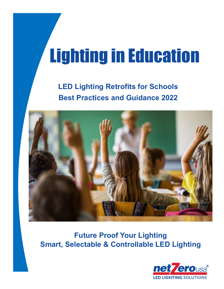# Lighting in Education

**LED Lighting Retrofits for Schools Best Practices and Guidance 2022**



**Future Proof Your Lighting Smart, Selectable & Controllable LED Lighting**

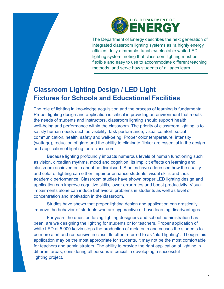

The Department of Energy describes the next generation of integrated classroom lighting systems as "a highly energy efficient, fully-dimmable, tunable/selectable white-LED lighting system, noting that classroom lighting must be flexible and easy to use to accommodate different teaching methods, and serve how students of all ages learn.

#### **Classroom Lighting Design / LED Light Fixtures for Schools and Educational Facilities**

The role of lighting in knowledge acquisition and the process of learning is fundamental. Proper lighting design and application is critical in providing an environment that meets the needs of students and instructors, classroom lighting should support health, well-being and performance within the classroom. The priority of classroom lighting is to satisfy human needs such as visibility, task performance, visual comfort, social communication, health, safety and well-being. Proper color temperature, intensity (wattage), reduction of glare and the ability to eliminate flicker are essential in the design and application of lighting for a classroom.

Because lighting profoundly impacts numerous levels of human functioning such as vision, circadian rhythms, mood and cognition, its implicit effects on learning and classroom achievement cannot be dismissed. Studies have addressed how the quality and color of lighting can either impair or enhance students' visual skills and thus academic performance. Classroom studies have shown proper LED lighting design and application can improve cognitive skills, lower error rates and boost productivity. Visual impairments alone can induce behavioral problems in students as well as level of concentration and motivation in the classroom.

Studies have shown that proper lighting design and application can drastically improve the behavior of students who are hyperactive or have learning disadvantages.

For years the question facing lighting designers and school administration has been, are we designing the lighting for students or for teachers. Proper application of white LED at 5,000 kelvin stops the production of melatonin and causes the students to be more alert and responsive in class. Its often referred to as "alert lighting". Though this application may be the most appropriate for students, it may not be the most comfortable for teachers and administrators. The ability to provide the right application of lighting in different areas, considering all persons is crucial in developing a successful lighting project.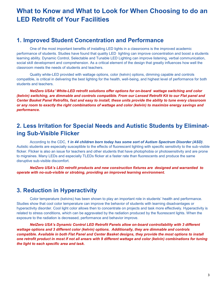#### **1. Improved Student Concentration and Performance**

One of the most important benefits of installing LED lights in a classrooms is the improved academic performance of students. Studies have found that quality LED lighting can improve concentration and boost a students learning ability. Dynamic Control, Selectable and Tunable LED Lighting can improve listening, verbal communication, social skill development and comprehension. As a critical element of the design that greatly influences how well the classroom meets the needs of students and teachers.

Quality white-LED provided with wattage options, color (kelvin) options, dimming capable and controls compatible, is critical in delivering the best lighting for the health, well-being, and highest level of performance for both students and teachers.

*NetZero USAs' White-LED retrofit solutions offer options for on-board wattage switching and color (kelvin) switching, are dimmable and controls compatible. From our Lensed Retrofit Kit to our Flat panel and Center Basket Panel Retrofits, fast and easy to install, these units provide the ability to tune every classroom or any room to exactly the right combinations of wattage and color (kelvin) to maximize energy savings and performance.* 

#### **2. Less Irritation for Special Needs and Autistic Students by Eliminating Sub-Visible Flicker**

According to the CDC, *1 in 44 children born today has some sort of Autism Spectrum Disorder (ASD)*. Autistic students are especially susceptible to the effects of fluorescent lighting with specific sensitivity to the sub-visible flicker. Flicker is also an issue for teachers and other students that have photophobia or photosensitivity and are prone to migraines. Many LEDs and especially TLEDs flicker at a faster rate than fluorescents and produce the same disruptive sub-visible discomfort.

*NetZero USA's LED retrofit products and new construction fixtures are designed and warrantied to operate with no-sub-visible or strobing, providing an improved learning environment.* 

#### **3. Reduction in Hyperactivity**

Color temperature (kelvins) has been shown to play an important role in students' health and performance. Studies show that cool color temperature can improve the behavior of students with learning disadvantages or hyperactivity disorder. Cool light color allows then to concentrate on projects and task more effectively. Hyperactivity is related to stress conditions, which can be aggravated by the radiation produced by the fluorescent lights. When the exposure to the radiation is decreased, performance and behavior improve.

*NetZero USA's Dynamic Control LED Retrofit Panels allow on-board controllability with 3 different wattage options and 3 different color (kelvin) options. Additionally, they are dimmable and controls compatible. Available in both Flat Panel and Center Basket designs, they provide the most options to install one retrofit product in most if not all arears with 9 different wattage and color (kelvin) combinations for tuning the light to each specific area and task.*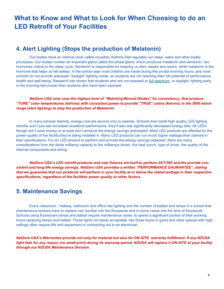#### **4. Alert Lighting (Stops the production of Melatonin)**

Our bodies have an internal clock called circadian rhythms that regulates our sleep, wake and other bodily processes. Our bodies contain an important gland called the pineal gland, which produces melatonin and serotonin, two hormones critical to the sleep cycle. Serotonin is responsible for keeping us alert, awake and aware, while melatonin is the hormone that helps us fall asleep. In the school year most children are inside during the pivotal morning hours, and most schools do not provide adequate "daylight" lighting inside, so students are not reaching their full potential of performance, health and well-being. Research has shown that students who are not exposed to [full spectrum,](https://www.makegreatlight.com/benefits/full-spectrum-light) or daylight, lighting early in the morning test poorer than students who have been exposed.

#### *NetZero USA only uses the highest level of "Matching Binned Diodes" for consistency, that produce "TURE" color temperatures (kelvins) with consistent power to provide "TRUE" colors (kelvins) in the 5000 kelvin range (alert lighting) to stop the production of Melatonin.*

In many schools districts, energy cost are second only to salaries. Schools that install high quality LED lighting retrofits won't just see increased academic performance, they'll also see significantly decreased energy bills. All LEDs though don't save money or at least don't produce the energy savings anticipated. Most LED products are affected by the power quality of the facility they're being installed in. Many LED products can run much higher wattage than claimed in their specifications. For an LED product to perform and provide the energy savings expected, there are many considerations from the diode milliamp capacity to the milliamps driven, the heat synch, type of driver, the quality of the internal components and wiring.

*NetZero USA's LED retrofit products and new fixtures are built to perform 24/7/365 and the provide consistent and long-life energy savings. NetZero USA provides a written "PERFORMANCE GAURANTEE", stating that we guarantee that our products will perform in your facility at or below the stated wattage in their respective specifications, regardless of the facilities power quality or other factors.*

#### **5. Maintenance Savings**

Every classroom , hallway, bathroom and office has lighting and the number of ballast and lamps in a school that maintenance workers have to replace can number into the thousands and in some cases into the tens of thousands. Schools using fluorescent lamps and ballast require maintenance crews to spend a significant portion of their working hours replacing lamps and ballast. Those lights not easily accessible, like those found in gyms and other spaces with high ceilings often require lifts and equipment or contracting out to an electrician.

*NetZero USA's Warranties provide not only for material but also for ON-SITE warranty fulfillment. If any NZUSA light fails for any reason (no small print) during its warranty period, NZUSA will replace it ON-SITE at your facility through our NZUSA Maintenance Division.*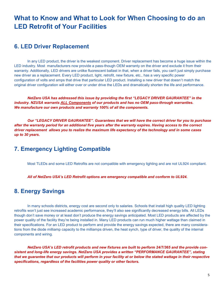#### **6. LED Driver Replacement**

In any LED product, the driver is the weakest component. Driver replacement has become a huge issue within the LED industry. Most manufacturers now provide a pass-though OEM warranty on the driver and exclude it from their warranty. Additionally, LED drivers are unlike fluorescent ballast in that, when a driver fails, you can't just simply purchase new driver as a replacement. Every LED product, light, retrofit, new fixture, etc., has a very specific power configuration of volts and amps that drive that particular LED product. Installing a new driver that doesn't match the original driver configuration will either over or under drive the LEDs and dramatically shorten the life and performance.

*NetZero USA has addressed this issue by providing the first "LEGACY DRIVER GAURANTEE" in the industry. NZUSA warrants ALL Components of our products and has no OEM pass-through warranties. We manufacture our own products and warranty 100% of all the components.* 

*Our "LEGACY DRIVER GAURANTEE". Guarantees that we will have the correct driver for you to purchase after the warranty period for an additional five years after the warranty expires. Having access to the correct driver replacement allows you to realize the maximum life expectancy of the technology and in some cases up to 30 years.* 

#### **7. Emergency Lighting Compatible**

Most TLEDs and some LED Retrofits are not compatible with emergency lighting and are not UL924 compliant.

*All of NetZero USA's LED Retrofit options are emergency compatible and conform to UL924.* 

#### **8. Energy Savings**

In many schools districts, energy cost are second only to salaries. Schools that install high quality LED lighting retrofits won't just see increased academic performance, they'll also see significantly decreased energy bills. All LEDs though don't save money or at least don't produce the energy savings anticipated. Most LED products are affected by the power quality of the facility they're being installed in. Many LED products can run much higher wattage than claimed in their specifications. For an LED product to perform and provide the energy savings expected, there are many considerations from the diode milliamp capacity to the milliamps driven, the heat synch, type of driver, the quality of the internal components and wiring.

*NetZero USA's LED retrofit products and new fixtures are built to perform 24/7/365 and the provide consistent and long-life energy savings. NetZero USA provides a written "PERFORMANCE GAURANTEE", stating that we guarantee that our products will perform in your facility at or below the stated wattage in their respective specifications, regardless of the facilities power quality or other factors.*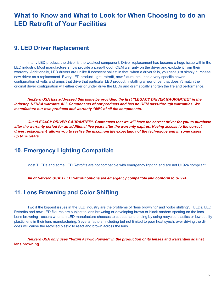#### **9. LED Driver Replacement**

In any LED product, the driver is the weakest component. Driver replacement has become a huge issue within the LED industry. Most manufacturers now provide a pass-though OEM warranty on the driver and exclude it from their warranty. Additionally, LED drivers are unlike fluorescent ballast in that, when a driver fails, you can't just simply purchase new driver as a replacement. Every LED product, light, retrofit, new fixture, etc., has a very specific power configuration of volts and amps that drive that particular LED product. Installing a new driver that doesn't match the original driver configuration will either over or under drive the LEDs and dramatically shorten the life and performance.

*NetZero USA has addressed this issue by providing the first "LEGACY DRIVER GAURANTEE" in the industry. NZUSA warrants ALL Components of our products and has no OEM pass-through warranties. We manufacture our own products and warranty 100% of all the components.* 

*Our "LEGACY DRIVER GAURANTEE". Guarantees that we will have the correct driver for you to purchase after the warranty period for an additional five years after the warranty expires. Having access to the correct driver replacement allows you to realize the maximum life expectancy of the technology and in some cases up to 30 years.* 

#### **10. Emergency Lighting Compatible**

Most TLEDs and some LED Retrofits are not compatible with emergency lighting and are not UL924 compliant.

*All of NetZero USA's LED Retrofit options are emergency compatible and conform to UL924.* 

#### **11. Lens Browning and Color Shifting**

Two if the biggest issues in the LED industry are the problems of "lens browning" and "color shifting". TLEDs, LED Retrofits and new LED fixtures are subject to lens browning or developing brown or black random spotting on the lens. Lens browning occurs when an LED manufacture chooses to cut cost and pricing by using recycled plastics or low quality plastic lens in their lens manufacturing. Several factors, including but not limited to poor heat synch, over driving the diodes will cause the recycled plastic to react and brown across the lens.

*NetZero USA only uses "Virgin Acrylic Powder" in the production of its lenses* **and warranties against lens browning.**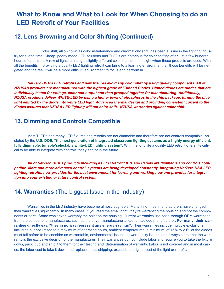#### **12. Lens Browning and Color Shifting (Continued)**

Color shift, also known as color maintenance and chromaticity shift, has been a issue in the lighting industry for a long time. Cheap, poorly made LED solutions and TLEDs are notorious for color shifting after just a few hundred hours of operation. A row of lights emitting a slightly different color is a common sight when these products are used. With all the benefits in providing a quality LED lighting retrofit can bring to a learning environment, all those benefits will be negated and the result will be a more difficult environment to focus and perform in.

*NetZero USA's LED retrofits and new fixtures avoid any color shift by using quality components. All of NZUSAs products are manufactured with the highest grade of "Binned Diodes. Binned diodes are diodes that are individually tested for voltage, color and output and then grouped together for manufacturing. Additionally, NZUSA products deliver WHITE-LED by using a higher level of phosphorus in the chip package, turning the blue*  light emitted by the diode into white LED light. Advanced thermal design and providing consistent current to the *diodes assures that NZUSA LED lighting will not color shift. NZUSA warranties against color shift.*

#### **13. Dimming and Controls Compatible**

Most TLEDs and many LED fixtures and retrofits are not dimmable and therefore are not controls compatible. As stated by the **U.S. DOE, "the next generation of integrated classroom lighting systems as a highly energy efficient, fully dimmable, tunable/selectable white-LED lighting system".** With the long life a quality LED retrofit offers, its critical to be able to integrate with controls today and/or in the future.

*All of NetZero USA's products including its LED Retrofit Kits and Panels are dimmable and controls compatible. More and more advanced control systems are being developed constantly. Integrating NetZero USA LED lighting retrofits now provides for the best environment for learning and working now and provides for integration into your existing or future control system.* 

#### **14. Warranties** (The biggest Issue in the Industry)

Warranties in the LED industry have become almost laughable. Many if not most manufacturers have changed their warranties significantly. In many cases, if you read the small print, they're warranting the housing and not the components or parts. Some won't even warranty the paint on the housing. Current warranties use pass-through OEM warranties from the component manufactures, such as the driver manufacturer and/or chip/diode manufacturer. **For many, their warranties directly say, "they in no way represent any energy savings".** Their warranties include multiple exclusions, including but not limited to a maximum of operating hours, ambient temperatures, a minimum of 15% to 20% of the diodes must fail before to be consider as warrantable, environmental issues, power quality issues, and always state, that the warranty is the exclusive decision of the manufacturer. Their warranties do not include labor and require you to take the fixture down, pack it up and ship it to them for their testing and determination of warranty. Labor is not covered and in most cases, the labor cost to take it down and replace it plus shipping, exceeds to original cost of the light or retrofit.